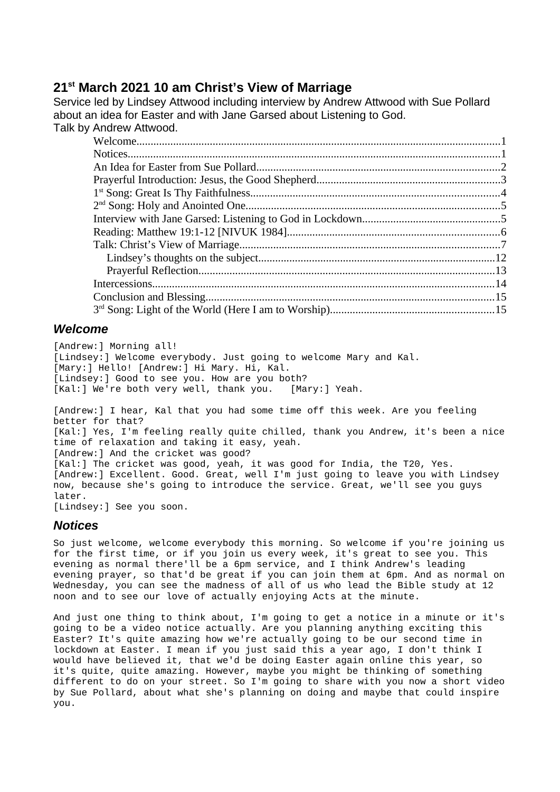# **21st March 2021 10 am Christ's View of Marriage**

Service led by Lindsey Attwood including interview by Andrew Attwood with Sue Pollard about an idea for Easter and with Jane Garsed about Listening to God. Talk by Andrew Attwood.

## <span id="page-0-1"></span>*Welcome*

[Andrew:] Morning all! [Lindsey:] Welcome everybody. Just going to welcome Mary and Kal. [Mary:] Hello! [Andrew:] Hi Mary. Hi, Kal. [Lindsey:] Good to see you. How are you both?<br>[Kal:] We're both very well, thank you. [Mary:] Yeah.  $[Kal:]$  We<sup>t</sup>re both very well, thank you.

[Andrew:] I hear, Kal that you had some time off this week. Are you feeling better for that? [Kal:] Yes, I'm feeling really quite chilled, thank you Andrew, it's been a nice time of relaxation and taking it easy, yeah. [Andrew:] And the cricket was good? [Kal:] The cricket was good, yeah, it was good for India, the T20, Yes. [Andrew:] Excellent. Good. Great, well I'm just going to leave you with Lindsey now, because she's going to introduce the service. Great, we'll see you guys later. [Lindsey:] See you soon.

### <span id="page-0-0"></span>*Notices*

So just welcome, welcome everybody this morning. So welcome if you're joining us for the first time, or if you join us every week, it's great to see you. This evening as normal there'll be a 6pm service, and I think Andrew's leading evening prayer, so that'd be great if you can join them at 6pm. And as normal on Wednesday, you can see the madness of all of us who lead the Bible study at 12 noon and to see our love of actually enjoying Acts at the minute.

And just one thing to think about, I'm going to get a notice in a minute or it's going to be a video notice actually. Are you planning anything exciting this Easter? It's quite amazing how we're actually going to be our second time in lockdown at Easter. I mean if you just said this a year ago, I don't think I would have believed it, that we'd be doing Easter again online this year, so it's quite, quite amazing. However, maybe you might be thinking of something different to do on your street. So I'm going to share with you now a short video by Sue Pollard, about what she's planning on doing and maybe that could inspire you.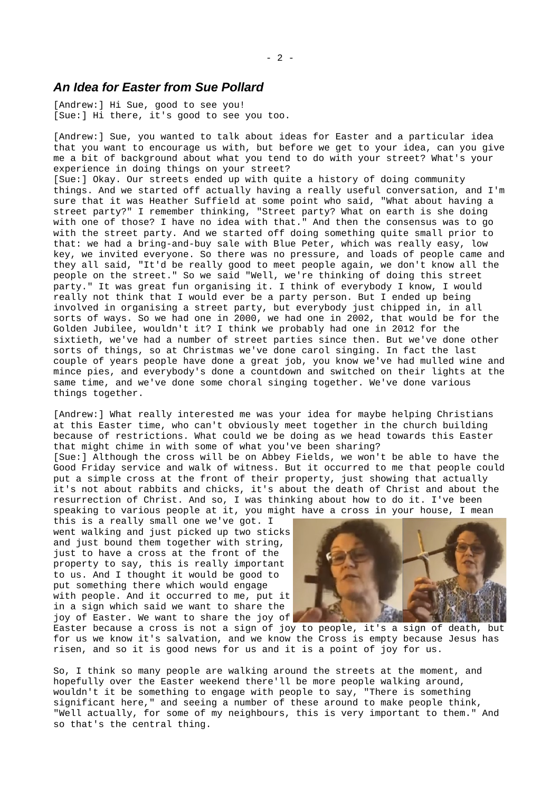### <span id="page-1-0"></span>*An Idea for Easter from Sue Pollard*

[Andrew:] Hi Sue, good to see you! [Sue:] Hi there, it's good to see you too.

[Andrew:] Sue, you wanted to talk about ideas for Easter and a particular idea that you want to encourage us with, but before we get to your idea, can you give me a bit of background about what you tend to do with your street? What's your experience in doing things on your street?

[Sue:] Okay. Our streets ended up with quite a history of doing community things. And we started off actually having a really useful conversation, and I'm sure that it was Heather Suffield at some point who said, "What about having a street party?" I remember thinking, "Street party? What on earth is she doing with one of those? I have no idea with that." And then the consensus was to go with the street party. And we started off doing something quite small prior to that: we had a bring-and-buy sale with Blue Peter, which was really easy, low key, we invited everyone. So there was no pressure, and loads of people came and they all said, "It'd be really good to meet people again, we don't know all the people on the street." So we said "Well, we're thinking of doing this street party." It was great fun organising it. I think of everybody I know, I would really not think that I would ever be a party person. But I ended up being involved in organising a street party, but everybody just chipped in, in all sorts of ways. So we had one in 2000, we had one in 2002, that would be for the Golden Jubilee, wouldn't it? I think we probably had one in 2012 for the sixtieth, we've had a number of street parties since then. But we've done other sorts of things, so at Christmas we've done carol singing. In fact the last couple of years people have done a great job, you know we've had mulled wine and mince pies, and everybody's done a countdown and switched on their lights at the same time, and we've done some choral singing together. We've done various things together.

[Andrew:] What really interested me was your idea for maybe helping Christians at this Easter time, who can't obviously meet together in the church building because of restrictions. What could we be doing as we head towards this Easter that might chime in with some of what you've been sharing?

[Sue:] Although the cross will be on Abbey Fields, we won't be able to have the Good Friday service and walk of witness. But it occurred to me that people could put a simple cross at the front of their property, just showing that actually it's not about rabbits and chicks, it's about the death of Christ and about the resurrection of Christ. And so, I was thinking about how to do it. I've been speaking to various people at it, you might have a cross in your house, I mean

this is a really small one we've got. I went walking and just picked up two sticks and just bound them together with string, just to have a cross at the front of the property to say, this is really important to us. And I thought it would be good to put something there which would engage with people. And it occurred to me, put it in a sign which said we want to share the joy of Easter. We want to share the joy of



Easter because a cross is not a sign of joy to people, it's a sign of death, but for us we know it's salvation, and we know the Cross is empty because Jesus has risen, and so it is good news for us and it is a point of joy for us.

So, I think so many people are walking around the streets at the moment, and hopefully over the Easter weekend there'll be more people walking around, wouldn't it be something to engage with people to say, "There is something significant here," and seeing a number of these around to make people think, "Well actually, for some of my neighbours, this is very important to them." And so that's the central thing.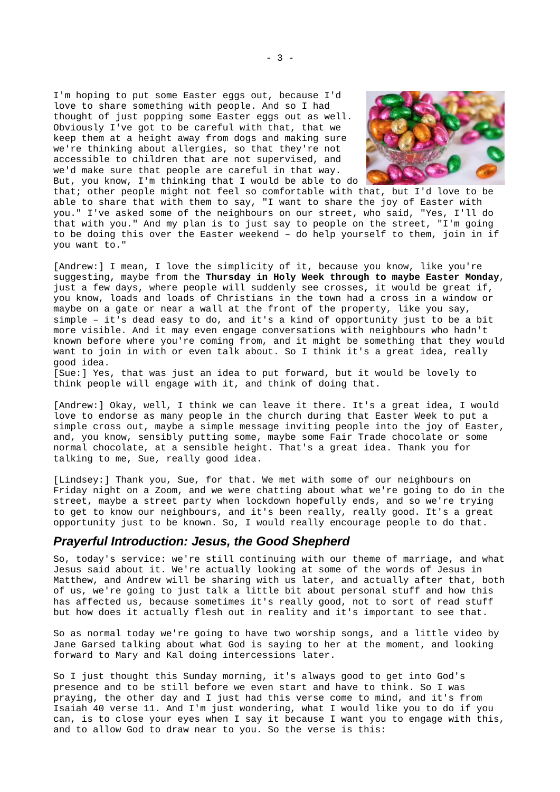I'm hoping to put some Easter eggs out, because I'd love to share something with people. And so I had thought of just popping some Easter eggs out as well. Obviously I've got to be careful with that, that we keep them at a height away from dogs and making sure we're thinking about allergies, so that they're not accessible to children that are not supervised, and we'd make sure that people are careful in that way. But, you know, I'm thinking that I would be able to do



that; other people might not feel so comfortable with that, but I'd love to be able to share that with them to say, "I want to share the joy of Easter with you." I've asked some of the neighbours on our street, who said, "Yes, I'll do that with you." And my plan is to just say to people on the street, "I'm going to be doing this over the Easter weekend – do help yourself to them, join in if you want to."

[Andrew:] I mean, I love the simplicity of it, because you know, like you're suggesting, maybe from the **Thursday in Holy Week through to maybe Easter Monday**, just a few days, where people will suddenly see crosses, it would be great if, you know, loads and loads of Christians in the town had a cross in a window or maybe on a gate or near a wall at the front of the property, like you say, simple – it's dead easy to do, and it's a kind of opportunity just to be a bit more visible. And it may even engage conversations with neighbours who hadn't known before where you're coming from, and it might be something that they would want to join in with or even talk about. So I think it's a great idea, really good idea.

[Sue:] Yes, that was just an idea to put forward, but it would be lovely to think people will engage with it, and think of doing that.

[Andrew:] Okay, well, I think we can leave it there. It's a great idea, I would love to endorse as many people in the church during that Easter Week to put a simple cross out, maybe a simple message inviting people into the joy of Easter, and, you know, sensibly putting some, maybe some Fair Trade chocolate or some normal chocolate, at a sensible height. That's a great idea. Thank you for talking to me, Sue, really good idea.

[Lindsey:] Thank you, Sue, for that. We met with some of our neighbours on Friday night on a Zoom, and we were chatting about what we're going to do in the street, maybe a street party when lockdown hopefully ends, and so we're trying to get to know our neighbours, and it's been really, really good. It's a great opportunity just to be known. So, I would really encourage people to do that.

#### <span id="page-2-0"></span>*Prayerful Introduction: Jesus, the Good Shepherd*

So, today's service: we're still continuing with our theme of marriage, and what Jesus said about it. We're actually looking at some of the words of Jesus in Matthew, and Andrew will be sharing with us later, and actually after that, both of us, we're going to just talk a little bit about personal stuff and how this has affected us, because sometimes it's really good, not to sort of read stuff but how does it actually flesh out in reality and it's important to see that.

So as normal today we're going to have two worship songs, and a little video by Jane Garsed talking about what God is saying to her at the moment, and looking forward to Mary and Kal doing intercessions later.

So I just thought this Sunday morning, it's always good to get into God's presence and to be still before we even start and have to think. So I was praying, the other day and I just had this verse come to mind, and it's from Isaiah 40 verse 11. And I'm just wondering, what I would like you to do if you can, is to close your eyes when I say it because I want you to engage with this, and to allow God to draw near to you. So the verse is this: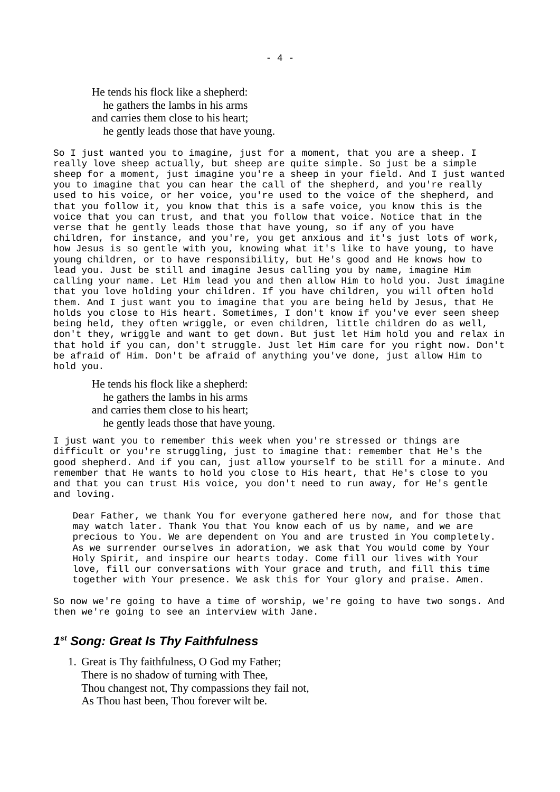He tends his flock like a shepherd: he gathers the lambs in his arms and carries them close to his heart; he gently leads those that have young.

So I just wanted you to imagine, just for a moment, that you are a sheep. I really love sheep actually, but sheep are quite simple. So just be a simple sheep for a moment, just imagine you're a sheep in your field. And I just wanted you to imagine that you can hear the call of the shepherd, and you're really used to his voice, or her voice, you're used to the voice of the shepherd, and that you follow it, you know that this is a safe voice, you know this is the voice that you can trust, and that you follow that voice. Notice that in the verse that he gently leads those that have young, so if any of you have children, for instance, and you're, you get anxious and it's just lots of work, how Jesus is so gentle with you, knowing what it's like to have young, to have young children, or to have responsibility, but He's good and He knows how to lead you. Just be still and imagine Jesus calling you by name, imagine Him calling your name. Let Him lead you and then allow Him to hold you. Just imagine that you love holding your children. If you have children, you will often hold them. And I just want you to imagine that you are being held by Jesus, that He holds you close to His heart. Sometimes, I don't know if you've ever seen sheep being held, they often wriggle, or even children, little children do as well, don't they, wriggle and want to get down. But just let Him hold you and relax in that hold if you can, don't struggle. Just let Him care for you right now. Don't be afraid of Him. Don't be afraid of anything you've done, just allow Him to hold you.

He tends his flock like a shepherd: he gathers the lambs in his arms and carries them close to his heart; he gently leads those that have young.

I just want you to remember this week when you're stressed or things are difficult or you're struggling, just to imagine that: remember that He's the good shepherd. And if you can, just allow yourself to be still for a minute. And remember that He wants to hold you close to His heart, that He's close to you and that you can trust His voice, you don't need to run away, for He's gentle and loving.

Dear Father, we thank You for everyone gathered here now, and for those that may watch later. Thank You that You know each of us by name, and we are precious to You. We are dependent on You and are trusted in You completely. As we surrender ourselves in adoration, we ask that You would come by Your Holy Spirit, and inspire our hearts today. Come fill our lives with Your love, fill our conversations with Your grace and truth, and fill this time together with Your presence. We ask this for Your glory and praise. Amen.

So now we're going to have a time of worship, we're going to have two songs. And then we're going to see an interview with Jane.

## <span id="page-3-0"></span>*1 st Song: Great Is Thy Faithfulness*

1. Great is Thy faithfulness, O God my Father; There is no shadow of turning with Thee, Thou changest not, Thy compassions they fail not, As Thou hast been, Thou forever wilt be.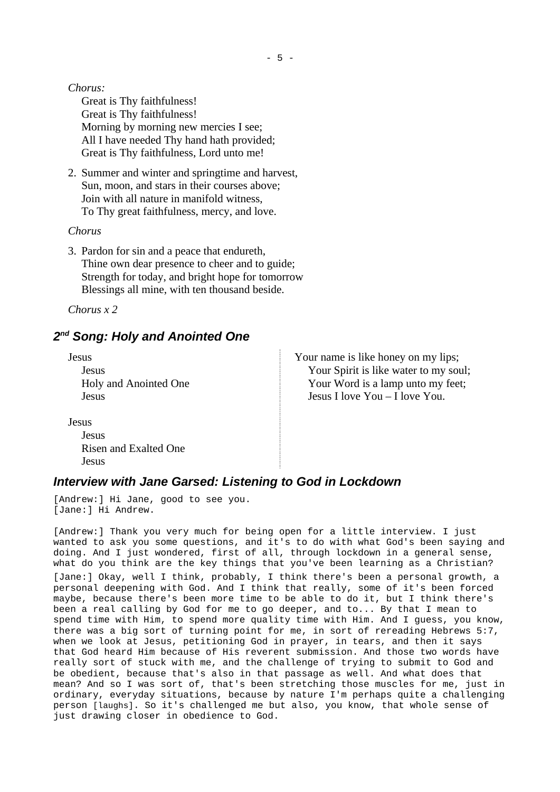*Chorus:*

Great is Thy faithfulness! Great is Thy faithfulness! Morning by morning new mercies I see; All I have needed Thy hand hath provided; Great is Thy faithfulness, Lord unto me!

2. Summer and winter and springtime and harvest, Sun, moon, and stars in their courses above; Join with all nature in manifold witness, To Thy great faithfulness, mercy, and love.

### *Chorus*

3. Pardon for sin and a peace that endureth, Thine own dear presence to cheer and to guide; Strength for today, and bright hope for tomorrow Blessings all mine, with ten thousand beside.

*Chorus x 2*

## <span id="page-4-1"></span>*2 nd Song: Holy and Anointed One*

Jesus Jesus Holy and Anointed One Jesus

Your name is like honey on my lips; Your Spirit is like water to my soul; Your Word is a lamp unto my feet; Jesus I love You – I love You.

Jesus Jesus Risen and Exalted One Jesus

## <span id="page-4-0"></span>*Interview with Jane Garsed: Listening to God in Lockdown*

[Andrew:] Hi Jane, good to see you. [Jane:] Hi Andrew.

[Andrew:] Thank you very much for being open for a little interview. I just wanted to ask you some questions, and it's to do with what God's been saying and doing. And I just wondered, first of all, through lockdown in a general sense, what do you think are the key things that you've been learning as a Christian? [Jane:] Okay, well I think, probably, I think there's been a personal growth, a personal deepening with God. And I think that really, some of it's been forced maybe, because there's been more time to be able to do it, but I think there's been a real calling by God for me to go deeper, and to... By that I mean to spend time with Him, to spend more quality time with Him. And I guess, you know, there was a big sort of turning point for me, in sort of rereading Hebrews 5:7, when we look at Jesus, petitioning God in prayer, in tears, and then it says that God heard Him because of His reverent submission. And those two words have really sort of stuck with me, and the challenge of trying to submit to God and be obedient, because that's also in that passage as well. And what does that mean? And so I was sort of, that's been stretching those muscles for me, just in ordinary, everyday situations, because by nature I'm perhaps quite a challenging person [laughs]. So it's challenged me but also, you know, that whole sense of just drawing closer in obedience to God.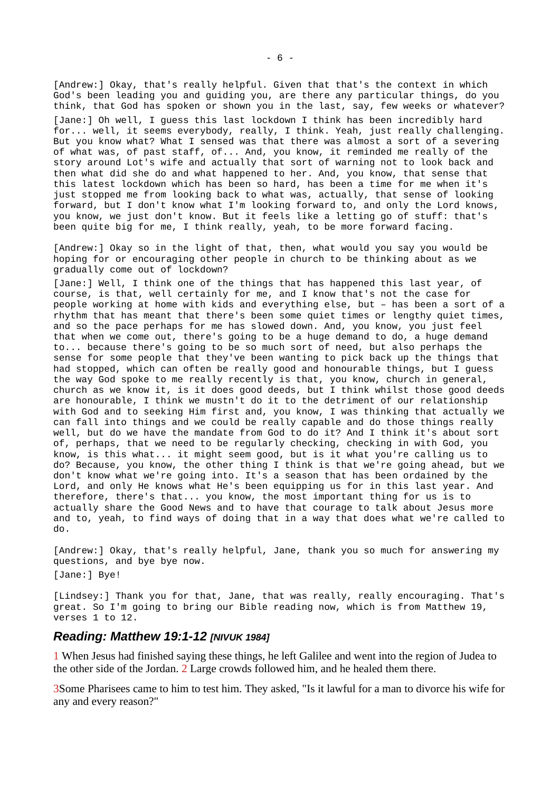[Andrew:] Okay, that's really helpful. Given that that's the context in which God's been leading you and guiding you, are there any particular things, do you think, that God has spoken or shown you in the last, say, few weeks or whatever? [Jane:] Oh well, I guess this last lockdown I think has been incredibly hard for... well, it seems everybody, really, I think. Yeah, just really challenging. But you know what? What I sensed was that there was almost a sort of a severing of what was, of past staff, of... And, you know, it reminded me really of the story around Lot's wife and actually that sort of warning not to look back and then what did she do and what happened to her. And, you know, that sense that this latest lockdown which has been so hard, has been a time for me when it's just stopped me from looking back to what was, actually, that sense of looking forward, but I don't know what I'm looking forward to, and only the Lord knows, you know, we just don't know. But it feels like a letting go of stuff: that's been quite big for me, I think really, yeah, to be more forward facing.

[Andrew:] Okay so in the light of that, then, what would you say you would be hoping for or encouraging other people in church to be thinking about as we gradually come out of lockdown?

[Jane:] Well, I think one of the things that has happened this last year, of course, is that, well certainly for me, and I know that's not the case for people working at home with kids and everything else, but – has been a sort of a rhythm that has meant that there's been some quiet times or lengthy quiet times, and so the pace perhaps for me has slowed down. And, you know, you just feel that when we come out, there's going to be a huge demand to do, a huge demand to... because there's going to be so much sort of need, but also perhaps the sense for some people that they've been wanting to pick back up the things that had stopped, which can often be really good and honourable things, but I guess the way God spoke to me really recently is that, you know, church in general, church as we know it, is it does good deeds, but  $I$  think whilst those good deeds are honourable, I think we mustn't do it to the detriment of our relationship with God and to seeking Him first and, you know, I was thinking that actually we can fall into things and we could be really capable and do those things really well, but do we have the mandate from God to do it? And I think it's about sort of, perhaps, that we need to be regularly checking, checking in with God, you know, is this what... it might seem good, but is it what you're calling us to do? Because, you know, the other thing I think is that we're going ahead, but we don't know what we're going into. It's a season that has been ordained by the Lord, and only He knows what He's been equipping us for in this last year. And therefore, there's that... you know, the most important thing for us is to actually share the Good News and to have that courage to talk about Jesus more and to, yeah, to find ways of doing that in a way that does what we're called to do.

[Andrew:] Okay, that's really helpful, Jane, thank you so much for answering my questions, and bye bye now. [Jane:] Bye!

[Lindsey:] Thank you for that, Jane, that was really, really encouraging. That's great. So I'm going to bring our Bible reading now, which is from Matthew 19, verses 1 to 12.

### <span id="page-5-0"></span>*Reading: Matthew 19:1-12 [NIVUK 1984]*

1 When Jesus had finished saying these things, he left Galilee and went into the region of Judea to the other side of the Jordan. 2 Large crowds followed him, and he healed them there.

3Some Pharisees came to him to test him. They asked, "Is it lawful for a man to divorce his wife for any and every reason?"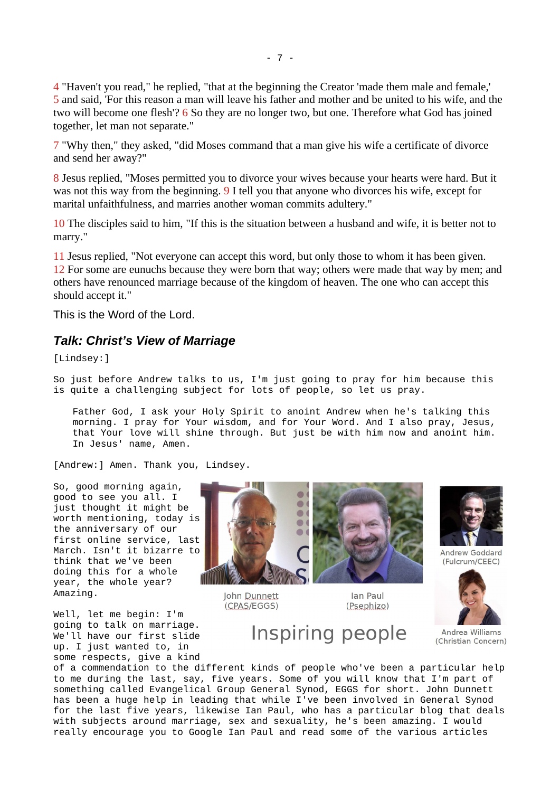4 "Haven't you read," he replied, "that at the beginning the Creator 'made them male and female,' 5 and said, 'For this reason a man will leave his father and mother and be united to his wife, and the two will become one flesh'? 6 So they are no longer two, but one. Therefore what God has joined together, let man not separate."

7 "Why then," they asked, "did Moses command that a man give his wife a certificate of divorce and send her away?"

8 Jesus replied, "Moses permitted you to divorce your wives because your hearts were hard. But it was not this way from the beginning. 9 I tell you that anyone who divorces his wife, except for marital unfaithfulness, and marries another woman commits adultery."

10 The disciples said to him, "If this is the situation between a husband and wife, it is better not to marry."

11 Jesus replied, "Not everyone can accept this word, but only those to whom it has been given. 12 For some are eunuchs because they were born that way; others were made that way by men; and others have renounced marriage because of the kingdom of heaven. The one who can accept this should accept it."

This is the Word of the Lord.

### <span id="page-6-0"></span>*Talk: Christ's View of Marriage*

[Lindsey:]

So just before Andrew talks to us, I'm just going to pray for him because this is quite a challenging subject for lots of people, so let us pray.

Father God, I ask your Holy Spirit to anoint Andrew when he's talking this morning. I pray for Your wisdom, and for Your Word. And I also pray, Jesus, that Your love will shine through. But just be with him now and anoint him. In Jesus' name, Amen.

[Andrew:] Amen. Thank you, Lindsey.

So, good morning again, good to see you all. I just thought it might be worth mentioning, today is the anniversary of our first online service, last March. Isn't it bizarre to think that we've been doing this for a whole year, the whole year? Amazing.

Well, let me begin: I'm going to talk on marriage. We'll have our first slide up. I just wanted to, in some respects, give a kind



John Dunnett (CPAS/EGGS)

lan Paul (Psephizo)



Andrew Goddard (Fulcrum/CEEC)



Andrea Williams (Christian Concern)

Inspiring people

of a commendation to the different kinds of people who've been a particular help to me during the last, say, five years. Some of you will know that I'm part of something called Evangelical Group General Synod, EGGS for short. John Dunnett has been a huge help in leading that while I've been involved in General Synod for the last five years, likewise Ian Paul, who has a particular blog that deals with subjects around marriage, sex and sexuality, he's been amazing. I would really encourage you to Google Ian Paul and read some of the various articles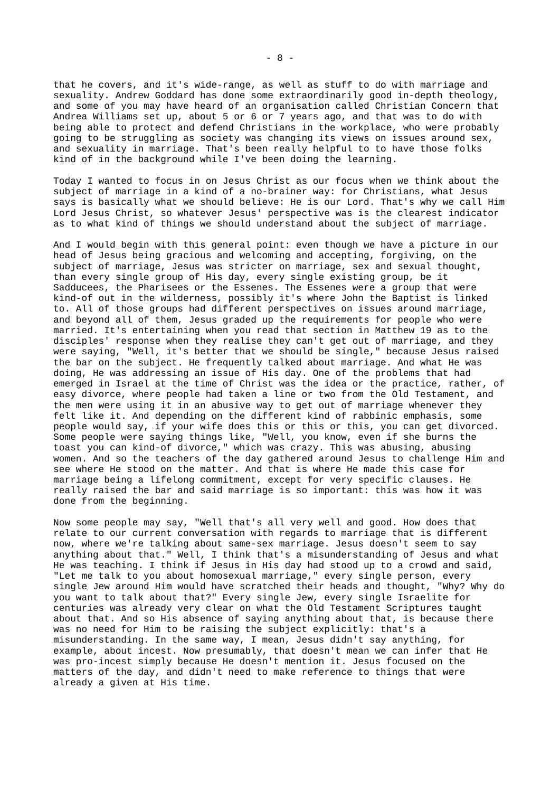that he covers, and it's wide-range, as well as stuff to do with marriage and sexuality. Andrew Goddard has done some extraordinarily good in-depth theology, and some of you may have heard of an organisation called Christian Concern that Andrea Williams set up, about 5 or 6 or 7 years ago, and that was to do with being able to protect and defend Christians in the workplace, who were probably going to be struggling as society was changing its views on issues around sex, and sexuality in marriage. That's been really helpful to to have those folks kind of in the background while I've been doing the learning.

Today I wanted to focus in on Jesus Christ as our focus when we think about the subject of marriage in a kind of a no-brainer way: for Christians, what Jesus says is basically what we should believe: He is our Lord. That's why we call Him Lord Jesus Christ, so whatever Jesus' perspective was is the clearest indicator as to what kind of things we should understand about the subject of marriage.

And I would begin with this general point: even though we have a picture in our head of Jesus being gracious and welcoming and accepting, forgiving, on the subject of marriage, Jesus was stricter on marriage, sex and sexual thought, than every single group of His day, every single existing group, be it Sadducees, the Pharisees or the Essenes. The Essenes were a group that were kind-of out in the wilderness, possibly it's where John the Baptist is linked to. All of those groups had different perspectives on issues around marriage, and beyond all of them, Jesus graded up the requirements for people who were married. It's entertaining when you read that section in Matthew 19 as to the disciples' response when they realise they can't get out of marriage, and they were saying, "Well, it's better that we should be single," because Jesus raised the bar on the subject. He frequently talked about marriage. And what He was doing, He was addressing an issue of His day. One of the problems that had emerged in Israel at the time of Christ was the idea or the practice, rather, of easy divorce, where people had taken a line or two from the Old Testament, and the men were using it in an abusive way to get out of marriage whenever they felt like it. And depending on the different kind of rabbinic emphasis, some people would say, if your wife does this or this or this, you can get divorced. Some people were saying things like, "Well, you know, even if she burns the toast you can kind-of divorce," which was crazy. This was abusing, abusing women. And so the teachers of the day gathered around Jesus to challenge Him and see where He stood on the matter. And that is where He made this case for marriage being a lifelong commitment, except for very specific clauses. He really raised the bar and said marriage is so important: this was how it was done from the beginning.

Now some people may say, "Well that's all very well and good. How does that relate to our current conversation with regards to marriage that is different now, where we're talking about same-sex marriage. Jesus doesn't seem to say anything about that." Well, I think that's a misunderstanding of Jesus and what He was teaching. I think if Jesus in His day had stood up to a crowd and said, "Let me talk to you about homosexual marriage," every single person, every single Jew around Him would have scratched their heads and thought, "Why? Why do you want to talk about that?" Every single Jew, every single Israelite for centuries was already very clear on what the Old Testament Scriptures taught about that. And so His absence of saying anything about that, is because there was no need for Him to be raising the subject explicitly: that's a misunderstanding. In the same way, I mean, Jesus didn't say anything, for example, about incest. Now presumably, that doesn't mean we can infer that He was pro-incest simply because He doesn't mention it. Jesus focused on the matters of the day, and didn't need to make reference to things that were already a given at His time.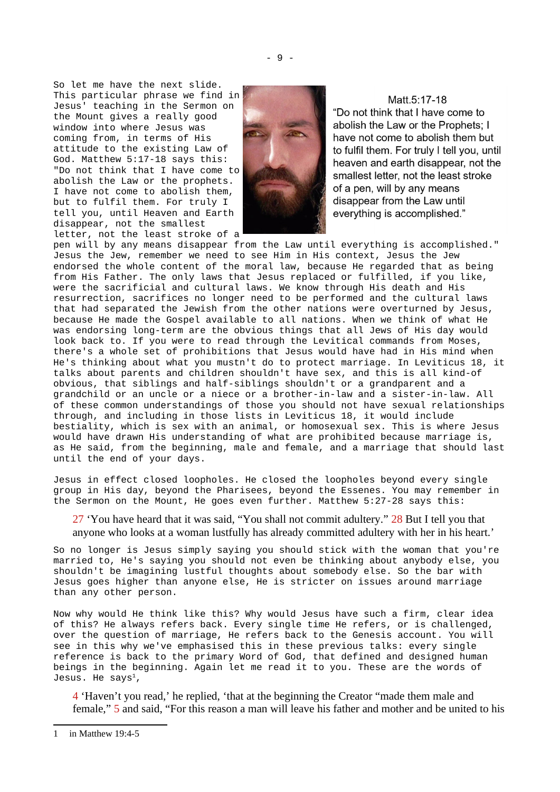So let me have the next slide. This particular phrase we find in Jesus' teaching in the Sermon on the Mount gives a really good window into where Jesus was coming from, in terms of His attitude to the existing Law of God. Matthew 5:17-18 says this: "Do not think that I have come to abolish the Law or the prophets. I have not come to abolish them, but to fulfil them. For truly I tell you, until Heaven and Earth disappear, not the smallest letter, not the least stroke of a



Matt.5:17-18 "Do not think that I have come to abolish the Law or the Prophets; I have not come to abolish them but to fulfil them. For truly I tell you, until heaven and earth disappear, not the smallest letter, not the least stroke of a pen, will by any means disappear from the Law until everything is accomplished."

pen will by any means disappear from the Law until everything is accomplished." Jesus the Jew, remember we need to see Him in His context, Jesus the Jew endorsed the whole content of the moral law, because He regarded that as being from His Father. The only laws that Jesus replaced or fulfilled, if you like, were the sacrificial and cultural laws. We know through His death and His resurrection, sacrifices no longer need to be performed and the cultural laws that had separated the Jewish from the other nations were overturned by Jesus, because He made the Gospel available to all nations. When we think of what He was endorsing long-term are the obvious things that all Jews of His day would look back to. If you were to read through the Levitical commands from Moses, there's a whole set of prohibitions that Jesus would have had in His mind when He's thinking about what you mustn't do to protect marriage. In Leviticus 18, it talks about parents and children shouldn't have sex, and this is all kind-of obvious, that siblings and half-siblings shouldn't or a grandparent and a grandchild or an uncle or a niece or a brother-in-law and a sister-in-law. All of these common understandings of those you should not have sexual relationships through, and including in those lists in Leviticus 18, it would include bestiality, which is sex with an animal, or homosexual sex. This is where Jesus would have drawn His understanding of what are prohibited because marriage is, as He said, from the beginning, male and female, and a marriage that should last until the end of your days.

Jesus in effect closed loopholes. He closed the loopholes beyond every single group in His day, beyond the Pharisees, beyond the Essenes. You may remember in the Sermon on the Mount, He goes even further. Matthew 5:27-28 says this:

27 'You have heard that it was said, "You shall not commit adultery." 28 But I tell you that anyone who looks at a woman lustfully has already committed adultery with her in his heart.'

So no longer is Jesus simply saying you should stick with the woman that you're married to, He's saying you should not even be thinking about anybody else, you shouldn't be imagining lustful thoughts about somebody else. So the bar with Jesus goes higher than anyone else, He is stricter on issues around marriage than any other person.

Now why would He think like this? Why would Jesus have such a firm, clear idea of this? He always refers back. Every single time He refers, or is challenged, over the question of marriage, He refers back to the Genesis account. You will see in this why we've emphasised this in these previous talks: every single reference is back to the primary Word of God, that defined and designed human beings in the beginning. Again let me read it to you. These are the words of Jesus. He says $<sup>1</sup>$  $<sup>1</sup>$  $<sup>1</sup>$ ,</sup>

4 'Haven't you read,' he replied, 'that at the beginning the Creator "made them male and female," 5 and said, "For this reason a man will leave his father and mother and be united to his

<span id="page-8-0"></span><sup>1</sup> in Matthew 19:4-5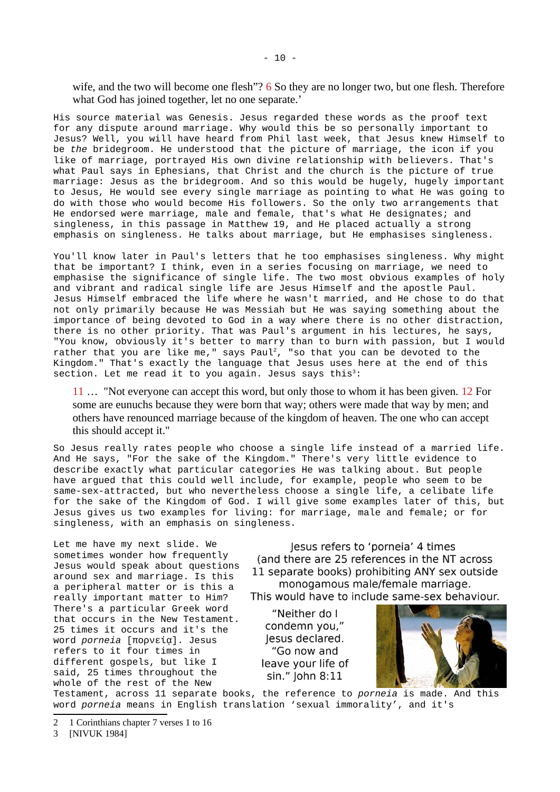wife, and the two will become one flesh"? 6 So they are no longer two, but one flesh. Therefore what God has joined together, let no one separate.'

His source material was Genesis. Jesus regarded these words as the proof text for any dispute around marriage. Why would this be so personally important to Jesus? Well, you will have heard from Phil last week, that Jesus knew Himself to be *the* bridegroom. He understood that the picture of marriage, the icon if you like of marriage, portrayed His own divine relationship with believers. That's what Paul says in Ephesians, that Christ and the church is the picture of true marriage: Jesus as the bridegroom. And so this would be hugely, hugely important to Jesus, He would see every single marriage as pointing to what He was going to do with those who would become His followers. So the only two arrangements that He endorsed were marriage, male and female, that's what He designates; and singleness, in this passage in Matthew 19, and He placed actually a strong emphasis on singleness. He talks about marriage, but He emphasises singleness.

You'll know later in Paul's letters that he too emphasises singleness. Why might that be important? I think, even in a series focusing on marriage, we need to emphasise the significance of single life. The two most obvious examples of holy and vibrant and radical single life are Jesus Himself and the apostle Paul. Jesus Himself embraced the life where he wasn't married, and He chose to do that not only primarily because He was Messiah but He was saying something about the importance of being devoted to God in a way where there is no other distraction, there is no other priority. That was Paul's argument in his lectures, he says, "You know, obviously it's better to marry than to burn with passion, but I would rather that you are like me," says Paul $^2$  $^2$ , "so that you can be devoted to the Kingdom." That's exactly the language that Jesus uses here at the end of this section. Let me read it to you again. Jesus says this<sup>[3](#page-9-1)</sup>:

11 … "Not everyone can accept this word, but only those to whom it has been given. 12 For some are eunuchs because they were born that way; others were made that way by men; and others have renounced marriage because of the kingdom of heaven. The one who can accept this should accept it."

So Jesus really rates people who choose a single life instead of a married life. And He says, "For the sake of the Kingdom." There's very little evidence to describe exactly what particular categories He was talking about. But people have argued that this could well include, for example, people who seem to be same-sex-attracted, but who nevertheless choose a single life, a celibate life for the sake of the Kingdom of God. I will give some examples later of this, but Jesus gives us two examples for living: for marriage, male and female; or for singleness, with an emphasis on singleness.

Let me have my next slide. We sometimes wonder how frequently Jesus would speak about questions around sex and marriage. Is this a peripheral matter or is this a really important matter to Him? There's a particular Greek word that occurs in the New Testament. 25 times it occurs and it's the word *porneia* [πορνείᾳ]. Jesus refers to it four times in different gospels, but like I said, 25 times throughout the whole of the rest of the New

lesus refers to 'porneia' 4 times (and there are 25 references in the NT across 11 separate books) prohibiting ANY sex outside monogamous male/female marriage. This would have to include same-sex behaviour.

"Neither do I condemn you." Jesus declared. "Go now and leave your life of sin." John 8:11



Testament, across 11 separate books, the reference to *porneia* is made. And this word *porneia* means in English translation 'sexual immorality', and it's

<span id="page-9-0"></span><sup>2 1</sup> Corinthians chapter 7 verses 1 to 16

<span id="page-9-1"></span><sup>3</sup> [NIVUK 1984]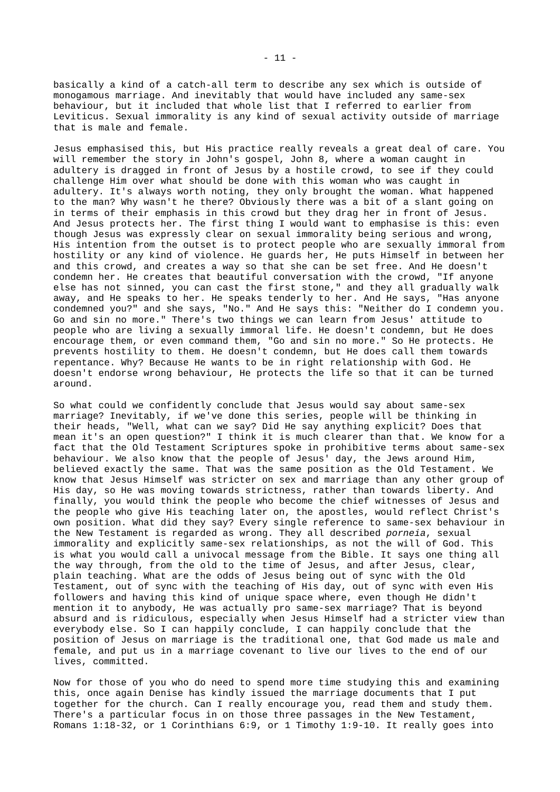basically a kind of a catch-all term to describe any sex which is outside of monogamous marriage. And inevitably that would have included any same-sex behaviour, but it included that whole list that I referred to earlier from Leviticus. Sexual immorality is any kind of sexual activity outside of marriage that is male and female.

Jesus emphasised this, but His practice really reveals a great deal of care. You will remember the story in John's gospel, John 8, where a woman caught in adultery is dragged in front of Jesus by a hostile crowd, to see if they could challenge Him over what should be done with this woman who was caught in adultery. It's always worth noting, they only brought the woman. What happened to the man? Why wasn't he there? Obviously there was a bit of a slant going on in terms of their emphasis in this crowd but they drag her in front of Jesus. And Jesus protects her. The first thing I would want to emphasise is this: even though Jesus was expressly clear on sexual immorality being serious and wrong, His intention from the outset is to protect people who are sexually immoral from hostility or any kind of violence. He guards her, He puts Himself in between her and this crowd, and creates a way so that she can be set free. And He doesn't condemn her. He creates that beautiful conversation with the crowd, "If anyone else has not sinned, you can cast the first stone," and they all gradually walk away, and He speaks to her. He speaks tenderly to her. And He says, "Has anyone condemned you?" and she says, "No." And He says this: "Neither do I condemn you. Go and sin no more." There's two things we can learn from Jesus' attitude to people who are living a sexually immoral life. He doesn't condemn, but He does encourage them, or even command them, "Go and sin no more." So He protects. He prevents hostility to them. He doesn't condemn, but He does call them towards repentance. Why? Because He wants to be in right relationship with God. He doesn't endorse wrong behaviour, He protects the life so that it can be turned around.

So what could we confidently conclude that Jesus would say about same-sex marriage? Inevitably, if we've done this series, people will be thinking in their heads, "Well, what can we say? Did He say anything explicit? Does that mean it's an open question?" I think it is much clearer than that. We know for a fact that the Old Testament Scriptures spoke in prohibitive terms about same-sex behaviour. We also know that the people of Jesus' day, the Jews around Him, believed exactly the same. That was the same position as the Old Testament. We know that Jesus Himself was stricter on sex and marriage than any other group of His day, so He was moving towards strictness, rather than towards liberty. And finally, you would think the people who become the chief witnesses of Jesus and the people who give His teaching later on, the apostles, would reflect Christ's own position. What did they say? Every single reference to same-sex behaviour in the New Testament is regarded as wrong. They all described *porneia*, sexual immorality and explicitly same-sex relationships, as not the will of God. This is what you would call a univocal message from the Bible. It says one thing all the way through, from the old to the time of Jesus, and after Jesus, clear, plain teaching. What are the odds of Jesus being out of sync with the Old Testament, out of sync with the teaching of His day, out of sync with even His followers and having this kind of unique space where, even though He didn't mention it to anybody, He was actually pro same-sex marriage? That is beyond absurd and is ridiculous, especially when Jesus Himself had a stricter view than everybody else. So I can happily conclude, I can happily conclude that the position of Jesus on marriage is the traditional one, that God made us male and female, and put us in a marriage covenant to live our lives to the end of our lives, committed.

Now for those of you who do need to spend more time studying this and examining this, once again Denise has kindly issued the marriage documents that I put together for the church. Can I really encourage you, read them and study them. There's a particular focus in on those three passages in the New Testament, Romans 1:18-32, or 1 Corinthians 6:9, or 1 Timothy 1:9-10. It really goes into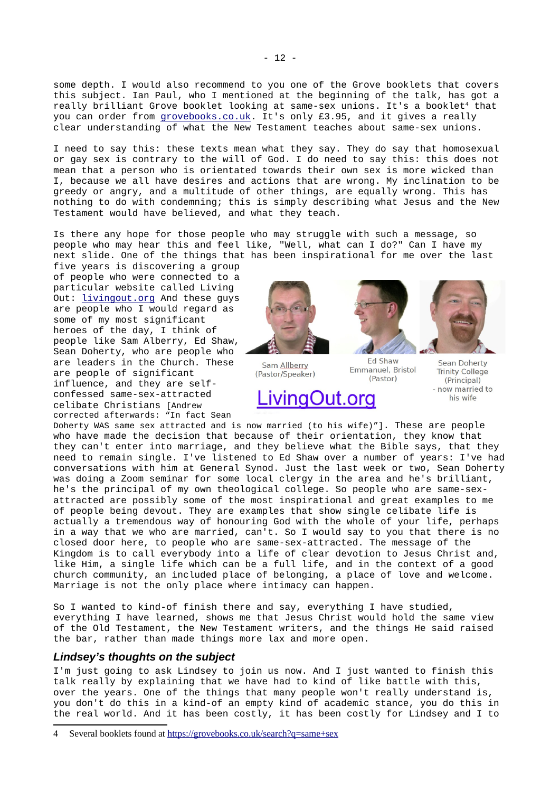some depth. I would also recommend to you one of the Grove booklets that covers this subject. Ian Paul, who I mentioned at the beginning of the talk, has got a really brilliant Grove booklet looking at same-sex unions. It's a booklet<sup>[4](#page-11-1)</sup> that you can order from [grovebooks.co.uk.](https://grovebooks.co.uk/) It's only £3.95, and it gives a really clear understanding of what the New Testament teaches about same-sex unions.

I need to say this: these texts mean what they say. They do say that homosexual or gay sex is contrary to the will of God. I do need to say this: this does not mean that a person who is orientated towards their own sex is more wicked than I, because we all have desires and actions that are wrong. My inclination to be greedy or angry, and a multitude of other things, are equally wrong. This has nothing to do with condemning; this is simply describing what Jesus and the New Testament would have believed, and what they teach.

Is there any hope for those people who may struggle with such a message, so people who may hear this and feel like, "Well, what can I do?" Can I have my next slide. One of the things that has been inspirational for me over the last

five years is discovering a group of people who were connected to a particular website called Living Out: [livingout.org](https://www.livingout.org/) And these guys are people who I would regard as some of my most significant heroes of the day, I think of people like Sam Alberry, Ed Shaw, Sean Doherty, who are people who are leaders in the Church. These are people of significant influence, and they are selfconfessed same-sex-attracted celibate Christians [Andrew corrected afterwards: "In fact Sean



Sam Allberry (Pastor/Speaker)

ivingOut.org

**Ed Shaw** Emmanuel, Bristol (Pastor)

Sean Doherty **Trinity College** (Principal) now married to his wife

Doherty WAS same sex attracted and is now married (to his wife)"]. These are people who have made the decision that because of their orientation, they know that they can't enter into marriage, and they believe what the Bible says, that they need to remain single. I've listened to Ed Shaw over a number of years: I've had conversations with him at General Synod. Just the last week or two, Sean Doherty was doing a Zoom seminar for some local clergy in the area and he's brilliant, he's the principal of my own theological college. So people who are same-sexattracted are possibly some of the most inspirational and great examples to me of people being devout. They are examples that show single celibate life is actually a tremendous way of honouring God with the whole of your life, perhaps in a way that we who are married, can't. So I would say to you that there is no closed door here, to people who are same-sex-attracted. The message of the Kingdom is to call everybody into a life of clear devotion to Jesus Christ and,

like Him, a single life which can be a full life, and in the context of a good church community, an included place of belonging, a place of love and welcome. Marriage is not the only place where intimacy can happen.

So I wanted to kind-of finish there and say, everything I have studied, everything I have learned, shows me that Jesus Christ would hold the same view of the Old Testament, the New Testament writers, and the things He said raised the bar, rather than made things more lax and more open.

### <span id="page-11-0"></span>*Lindsey's thoughts on the subject*

I'm just going to ask Lindsey to join us now. And I just wanted to finish this talk really by explaining that we have had to kind of like battle with this, over the years. One of the things that many people won't really understand is, you don't do this in a kind-of an empty kind of academic stance, you do this in the real world. And it has been costly, it has been costly for Lindsey and I to

<span id="page-11-1"></span><sup>4</sup> Several booklets found at<https://grovebooks.co.uk/search?q=same+sex>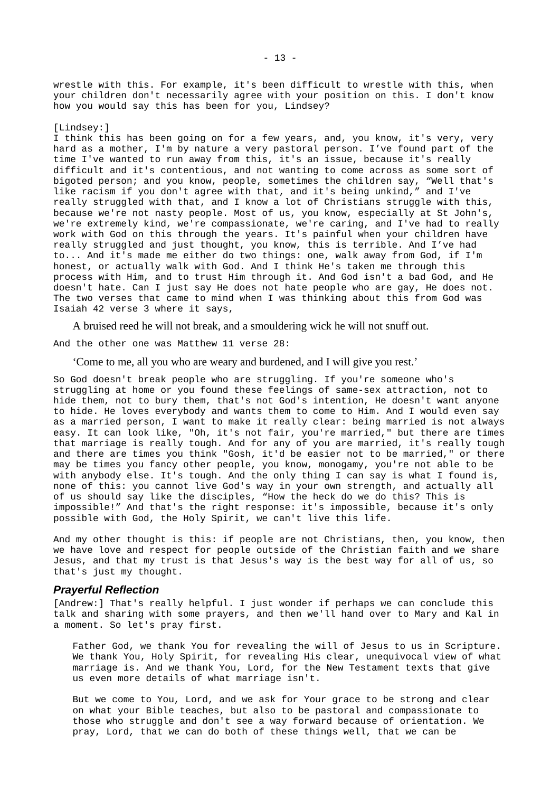wrestle with this. For example, it's been difficult to wrestle with this, when your children don't necessarily agree with your position on this. I don't know how you would say this has been for you, Lindsey?

#### [Lindsey:]

I think this has been going on for a few years, and, you know, it's very, very hard as a mother, I'm by nature a very pastoral person. I've found part of the time I've wanted to run away from this, it's an issue, because it's really difficult and it's contentious, and not wanting to come across as some sort of bigoted person; and you know, people, sometimes the children say, "Well that's like racism if you don't agree with that, and it's being unkind," and I've really struggled with that, and I know a lot of Christians struggle with this, because we're not nasty people. Most of us, you know, especially at St John's, we're extremely kind, we're compassionate, we're caring, and I've had to really work with God on this through the years. It's painful when your children have really struggled and just thought, you know, this is terrible. And I've had to... And it's made me either do two things: one, walk away from God, if I'm honest, or actually walk with God. And I think He's taken me through this process with Him, and to trust Him through it. And God isn't a bad God, and He doesn't hate. Can I just say He does not hate people who are gay, He does not. The two verses that came to mind when I was thinking about this from God was Isaiah 42 verse 3 where it says,

A bruised reed he will not break, and a smouldering wick he will not snuff out.

And the other one was Matthew 11 verse 28:

'Come to me, all you who are weary and burdened, and I will give you rest.'

So God doesn't break people who are struggling. If you're someone who's struggling at home or you found these feelings of same-sex attraction, not to hide them, not to bury them, that's not God's intention, He doesn't want anyone to hide. He loves everybody and wants them to come to Him. And I would even say as a married person, I want to make it really clear: being married is not always easy. It can look like, "Oh, it's not fair, you're married," but there are times that marriage is really tough. And for any of you are married, it's really tough and there are times you think "Gosh, it'd be easier not to be married," or there may be times you fancy other people, you know, monogamy, you're not able to be with anybody else. It's tough. And the only thing I can say is what I found is, none of this: you cannot live God's way in your own strength, and actually all of us should say like the disciples, "How the heck do we do this? This is impossible!" And that's the right response: it's impossible, because it's only possible with God, the Holy Spirit, we can't live this life.

And my other thought is this: if people are not Christians, then, you know, then we have love and respect for people outside of the Christian faith and we share Jesus, and that my trust is that Jesus's way is the best way for all of us, so that's just my thought.

#### <span id="page-12-0"></span>*Prayerful Reflection*

[Andrew:] That's really helpful. I just wonder if perhaps we can conclude this talk and sharing with some prayers, and then we'll hand over to Mary and Kal in a moment. So let's pray first.

Father God, we thank You for revealing the will of Jesus to us in Scripture. We thank You, Holy Spirit, for revealing His clear, unequivocal view of what marriage is. And we thank You, Lord, for the New Testament texts that give us even more details of what marriage isn't.

But we come to You, Lord, and we ask for Your grace to be strong and clear on what your Bible teaches, but also to be pastoral and compassionate to those who struggle and don't see a way forward because of orientation. We pray, Lord, that we can do both of these things well, that we can be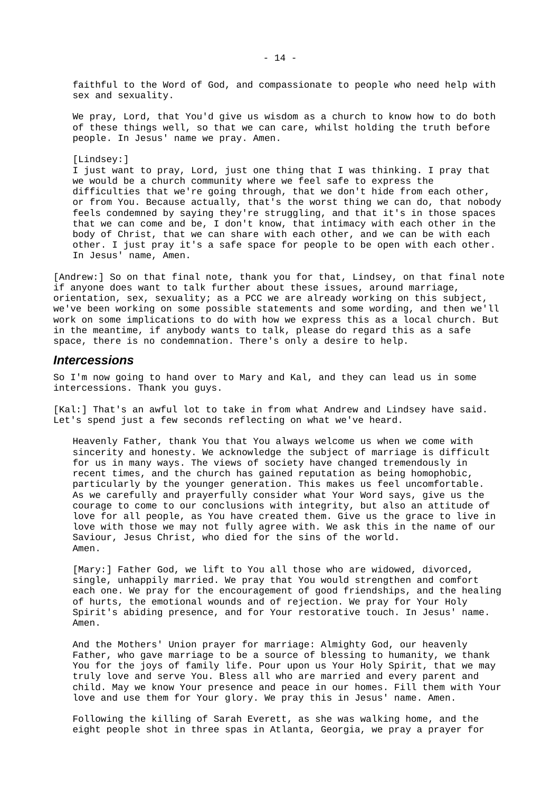faithful to the Word of God, and compassionate to people who need help with sex and sexuality.

We pray, Lord, that You'd give us wisdom as a church to know how to do both of these things well, so that we can care, whilst holding the truth before people. In Jesus' name we pray. Amen.

[Lindsey:]

I just want to pray, Lord, just one thing that I was thinking. I pray that we would be a church community where we feel safe to express the difficulties that we're going through, that we don't hide from each other, or from You. Because actually, that's the worst thing we can do, that nobody feels condemned by saying they're struggling, and that it's in those spaces that we can come and be, I don't know, that intimacy with each other in the body of Christ, that we can share with each other, and we can be with each other. I just pray it's a safe space for people to be open with each other. In Jesus' name, Amen.

[Andrew:] So on that final note, thank you for that, Lindsey, on that final note if anyone does want to talk further about these issues, around marriage, orientation, sex, sexuality; as a PCC we are already working on this subject, we've been working on some possible statements and some wording, and then we'll work on some implications to do with how we express this as a local church. But in the meantime, if anybody wants to talk, please do regard this as a safe space, there is no condemnation. There's only a desire to help.

#### <span id="page-13-0"></span>*Intercessions*

So I'm now going to hand over to Mary and Kal, and they can lead us in some intercessions. Thank you guys.

[Kal:] That's an awful lot to take in from what Andrew and Lindsey have said. Let's spend just a few seconds reflecting on what we've heard.

Heavenly Father, thank You that You always welcome us when we come with sincerity and honesty. We acknowledge the subject of marriage is difficult for us in many ways. The views of society have changed tremendously in recent times, and the church has gained reputation as being homophobic, particularly by the younger generation. This makes us feel uncomfortable. As we carefully and prayerfully consider what Your Word says, give us the courage to come to our conclusions with integrity, but also an attitude of love for all people, as You have created them. Give us the grace to live in love with those we may not fully agree with. We ask this in the name of our Saviour, Jesus Christ, who died for the sins of the world. Amen.

[Mary:] Father God, we lift to You all those who are widowed, divorced, single, unhappily married. We pray that You would strengthen and comfort each one. We pray for the encouragement of good friendships, and the healing of hurts, the emotional wounds and of rejection. We pray for Your Holy Spirit's abiding presence, and for Your restorative touch. In Jesus' name. Amen.

And the Mothers' Union prayer for marriage: Almighty God, our heavenly Father, who gave marriage to be a source of blessing to humanity, we thank You for the joys of family life. Pour upon us Your Holy Spirit, that we may truly love and serve You. Bless all who are married and every parent and child. May we know Your presence and peace in our homes. Fill them with Your love and use them for Your glory. We pray this in Jesus' name. Amen.

Following the killing of Sarah Everett, as she was walking home, and the eight people shot in three spas in Atlanta, Georgia, we pray a prayer for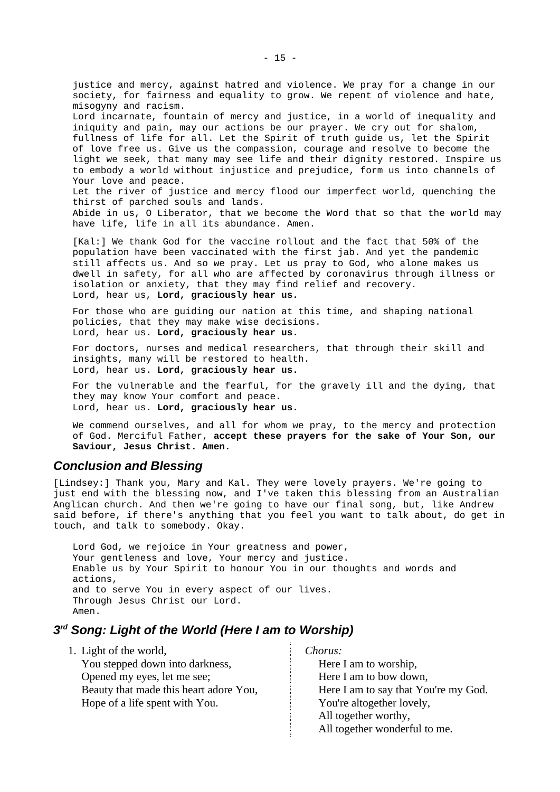justice and mercy, against hatred and violence. We pray for a change in our society, for fairness and equality to grow. We repent of violence and hate, misogyny and racism. Lord incarnate, fountain of mercy and justice, in a world of inequality and iniquity and pain, may our actions be our prayer. We cry out for shalom, fullness of life for all. Let the Spirit of truth guide us, let the Spirit of love free us. Give us the compassion, courage and resolve to become the light we seek, that many may see life and their dignity restored. Inspire us to embody a world without injustice and prejudice, form us into channels of Your love and peace. Let the river of justice and mercy flood our imperfect world, quenching the thirst of parched souls and lands.

Abide in us, O Liberator, that we become the Word that so that the world may have life, life in all its abundance. Amen.

[Kal:] We thank God for the vaccine rollout and the fact that 50% of the population have been vaccinated with the first jab. And yet the pandemic still affects us. And so we pray. Let us pray to God, who alone makes us dwell in safety, for all who are affected by coronavirus through illness or isolation or anxiety, that they may find relief and recovery. Lord, hear us, **Lord, graciously hear us.** 

For those who are guiding our nation at this time, and shaping national policies, that they may make wise decisions. Lord, hear us. **Lord, graciously hear us.**

For doctors, nurses and medical researchers, that through their skill and insights, many will be restored to health. Lord, hear us. **Lord, graciously hear us.**

For the vulnerable and the fearful, for the gravely ill and the dying, that they may know Your comfort and peace. Lord, hear us. **Lord, graciously hear us.** 

We commend ourselves, and all for whom we pray, to the mercy and protection of God. Merciful Father, **accept these prayers for the sake of Your Son, our Saviour, Jesus Christ. Amen.**

### <span id="page-14-1"></span>*Conclusion and Blessing*

[Lindsey:] Thank you, Mary and Kal. They were lovely prayers. We're going to just end with the blessing now, and I've taken this blessing from an Australian Anglican church. And then we're going to have our final song, but, like Andrew said before, if there's anything that you feel you want to talk about, do get in touch, and talk to somebody. Okay.

Lord God, we rejoice in Your greatness and power, Your gentleness and love, Your mercy and justice. Enable us by Your Spirit to honour You in our thoughts and words and actions, and to serve You in every aspect of our lives. Through Jesus Christ our Lord. Amen.

## <span id="page-14-0"></span>*3 rd Song: Light of the World (Here I am to Worship)*

| 1. Light of the world,                 | Chorus:                              |
|----------------------------------------|--------------------------------------|
| You stepped down into darkness,        | Here I am to worship,                |
| Opened my eyes, let me see;            | Here I am to bow down,               |
| Beauty that made this heart adore You, | Here I am to say that You're my God. |
| Hope of a life spent with You.         | You're altogether lovely,            |
|                                        | All together worthy,                 |
|                                        | All together wonderful to me.        |